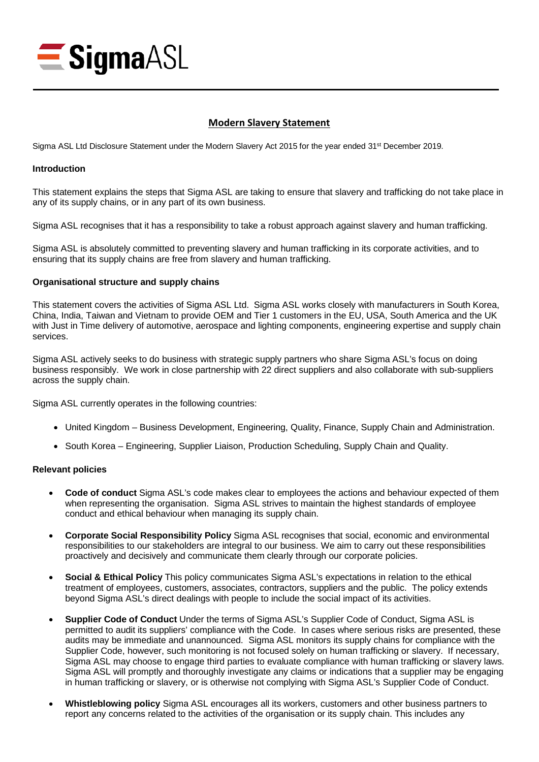

# **Modern Slavery Statement**

Sigma ASL Ltd Disclosure Statement under the Modern Slavery Act 2015 for the year ended 31<sup>st</sup> December 2019.

### **Introduction**

This statement explains the steps that Sigma ASL are taking to ensure that slavery and trafficking do not take place in any of its supply chains, or in any part of its own business.

Sigma ASL recognises that it has a responsibility to take a robust approach against slavery and human trafficking.

Sigma ASL is absolutely committed to preventing slavery and human trafficking in its corporate activities, and to ensuring that its supply chains are free from slavery and human trafficking.

## **Organisational structure and supply chains**

This statement covers the activities of Sigma ASL Ltd. Sigma ASL works closely with manufacturers in South Korea, China, India, Taiwan and Vietnam to provide OEM and Tier 1 customers in the EU, USA, South America and the UK with Just in Time delivery of automotive, aerospace and lighting components, engineering expertise and supply chain services.

Sigma ASL actively seeks to do business with strategic supply partners who share Sigma ASL's focus on doing business responsibly. We work in close partnership with 22 direct suppliers and also collaborate with sub-suppliers across the supply chain.

Sigma ASL currently operates in the following countries:

- United Kingdom Business Development, Engineering, Quality, Finance, Supply Chain and Administration.
- South Korea Engineering, Supplier Liaison, Production Scheduling, Supply Chain and Quality.

#### **Relevant policies**

- **Code of conduct** Sigma ASL's code makes clear to employees the actions and behaviour expected of them when representing the organisation. Sigma ASL strives to maintain the highest standards of employee conduct and ethical behaviour when managing its supply chain.
- **Corporate Social Responsibility Policy** Sigma ASL recognises that social, economic and environmental responsibilities to our stakeholders are integral to our business. We aim to carry out these responsibilities proactively and decisively and communicate them clearly through our corporate policies.
- **Social & Ethical Policy** This policy communicates Sigma ASL's expectations in relation to the ethical treatment of employees, customers, associates, contractors, suppliers and the public. The policy extends beyond Sigma ASL's direct dealings with people to include the social impact of its activities.
- **Supplier Code of Conduct** Under the terms of Sigma ASL's Supplier Code of Conduct, Sigma ASL is permitted to audit its suppliers' compliance with the Code. In cases where serious risks are presented, these audits may be immediate and unannounced. Sigma ASL monitors its supply chains for compliance with the Supplier Code, however, such monitoring is not focused solely on human trafficking or slavery. If necessary, Sigma ASL may choose to engage third parties to evaluate compliance with human trafficking or slavery laws. Sigma ASL will promptly and thoroughly investigate any claims or indications that a supplier may be engaging in human trafficking or slavery, or is otherwise not complying with Sigma ASL's Supplier Code of Conduct.
- **Whistleblowing policy** Sigma ASL encourages all its workers, customers and other business partners to report any concerns related to the activities of the organisation or its supply chain. This includes any